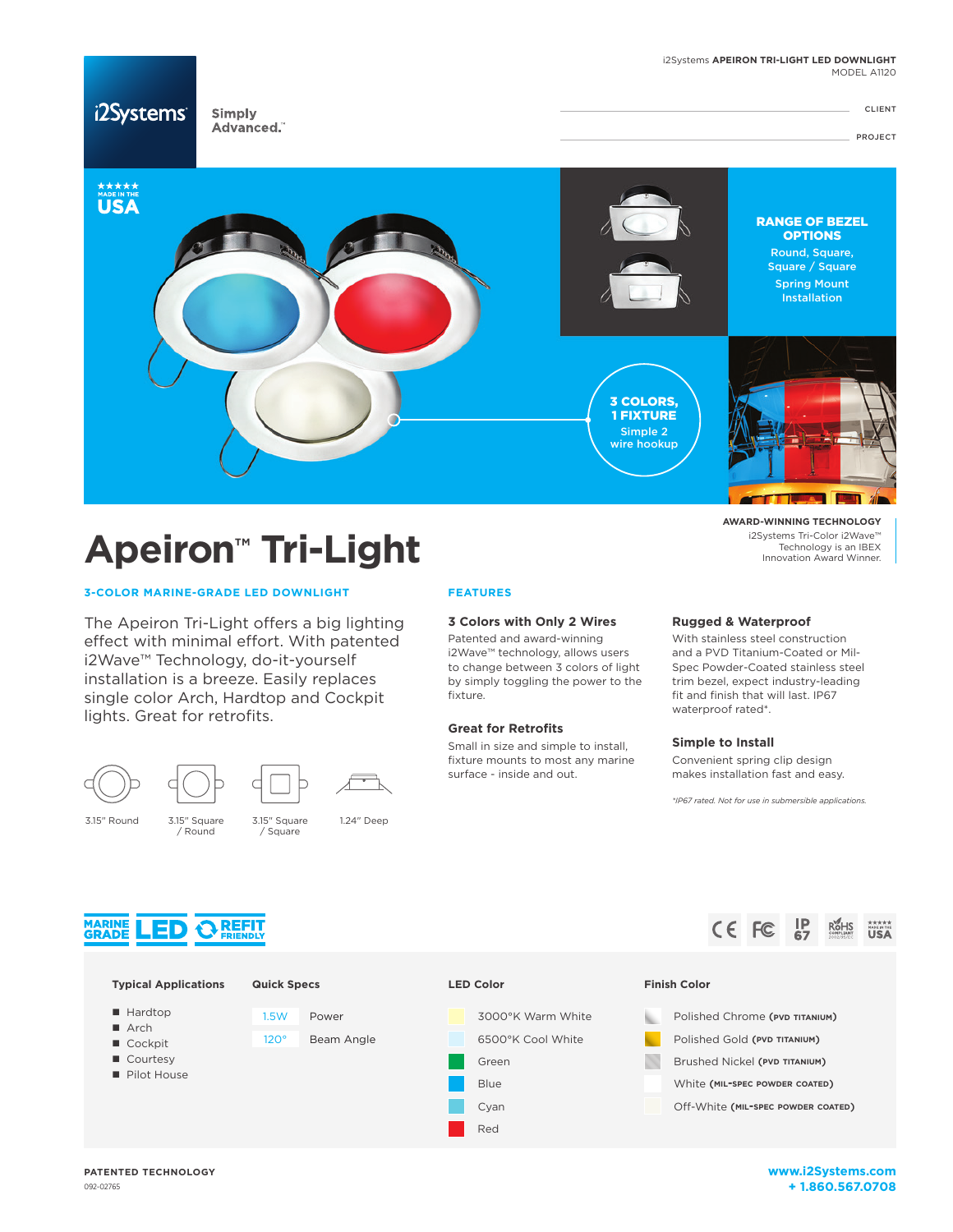

# **Apeiron™ Tri-Light**

# **3-COLOR MARINE-GRADE LED DOWNLIGHT**

The Apeiron Tri-Light offers a big lighting effect with minimal effort. With patented i2Wave™ Technology, do-it-yourself installation is a breeze. Easily replaces single color Arch, Hardtop and Cockpit lights. Great for retrofits.





/ Round



3.15" Square / Square

3.15" Round 3.15" Square 1.24" Deep

# **FEATURES**

# **3 Colors with Only 2 Wires**

Patented and award-winning i2Wave™ technology, allows users to change between 3 colors of light by simply toggling the power to the fixture.

## **Great for Retrofits**

Small in size and simple to install, fixture mounts to most any marine surface - inside and out.

3000°K Warm White

## **Rugged & Waterproof**

With stainless steel construction and a PVD Titanium-Coated or Mil-Spec Powder-Coated stainless steel trim bezel, expect industry-leading fit and finish that will last. IP67 waterproof rated\*.

**AWARD-WINNING TECHNOLOGY** i2Systems Tri-Color i2Wave™ Technology is an IBEX Innovation Award Winner.

#### **Simple to Install**

Convenient spring clip design makes installation fast and easy.

*\*IP67 rated. Not for use in submersible applications.*



**Typical Applications**



- Hardton
- $A$ rch
- Cockpit
- Courtesy
- Pilot House
- 1.5W Power
- 120° Beam Angle
- 6500°K Cool White Green
	- Blue
	- Cyan
	- Red



# **Finish Color**

- **Polished Chrome (PVD TITANIUM)**
- Polished Gold (**pvd titanium**)
- **Brushed Nickel (PVD TITANIUM)**  $\mathcal{N}$ 
	- White (**mil-spec powder coated**)
- Off-White (**mil-spec powder coated**)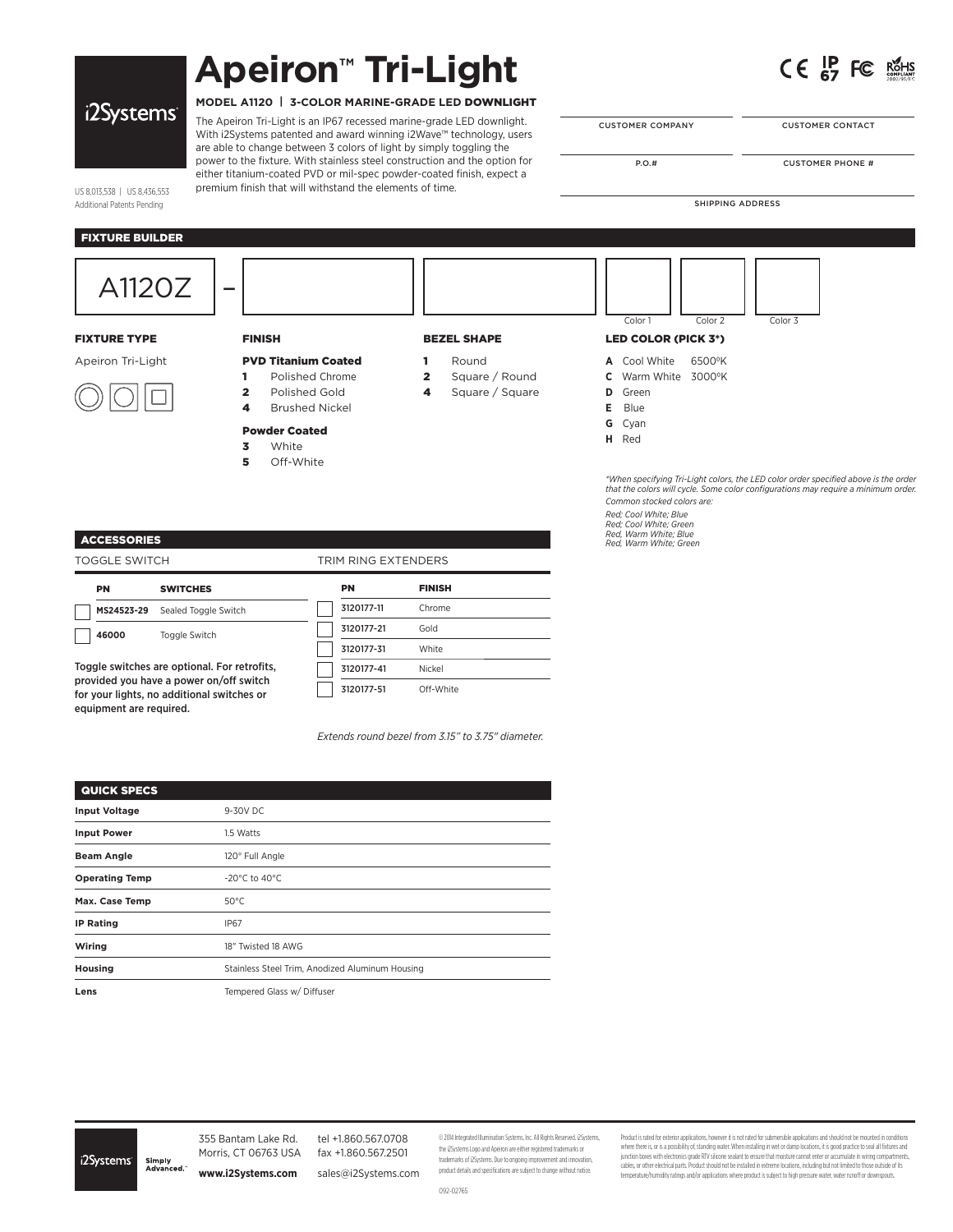# **Apeiron™ Tri-Light**



|  |  | i2Systems |
|--|--|-----------|
|  |  |           |

# **MODEL A1120 | 3-COLOR MARINE-GRADE LED** DOWNLIGHT

The Apeiron Tri-Light is an IP67 recessed marine-grade LED downlight. With i2Systems patented and award winning i2Wave™ technology, users are able to change between 3 colors of light by simply toggling the power to the fixture. With stainless steel construction and the option for either titanium-coated PVD or mil-spec powder-coated finish, expect a premium finish that will withstand the elements of time.

| <b>CUSTOMER COMPANY</b> |  |
|-------------------------|--|

**CUSTOMER CONTACT** 

P.O.# CUSTOMER PHONE #

*Common stocked colors are: Red; Cool White; Blue Red; Cool White; Green Red, Warm White; Blue Red, Warm White; Green*

SHIPPING ADDRESS

US 8,013,538 | US 8,436,553 Additional Patents Pending

# FIXTURE BUILDER

| A1120Z              | $\overline{\phantom{a}}$                                                                                                                                       |                                                                   | Color 1<br>Color 2<br>Color 3                                                                                                                                             |
|---------------------|----------------------------------------------------------------------------------------------------------------------------------------------------------------|-------------------------------------------------------------------|---------------------------------------------------------------------------------------------------------------------------------------------------------------------------|
| <b>FIXTURE TYPE</b> | <b>FINISH</b>                                                                                                                                                  | <b>BEZEL SHAPE</b>                                                | LED COLOR (PICK 3*)                                                                                                                                                       |
| Apeiron Tri-Light   | <b>PVD Titanium Coated</b><br>Polished Chrome<br>Polished Gold<br>$\overline{\mathbf{2}}$<br><b>Brushed Nickel</b><br>4<br><b>Powder Coated</b><br>White<br>3. | Round<br>Square / Round<br>$\overline{2}$<br>Square / Square<br>4 | A Cool White<br>6500°K<br>C Warm White 3000°K<br><b>D</b> Green<br>E Blue<br><b>G</b> Cyan<br>H Red                                                                       |
|                     | Off-White<br>5                                                                                                                                                 |                                                                   | *When specifying Tri-Light colors, the LED color order specified above is the order<br>that the colors will cycle. Some color configurations may require a minimum order. |

**ACCESSORIES** 

**TOGGLE SWITCH** 

| PN    | <b>SWITCHES</b>                 |
|-------|---------------------------------|
|       | MS24523-29 Sealed Toggle Switch |
| 46000 | <b>Toggle Switch</b>            |

Toggle switches are optional. For retrofits, provided you have a power on/off switch for your lights, no additional switches or equipment are required.

| TRIM RING EXTENDERS |            |               |
|---------------------|------------|---------------|
|                     | PN         | <b>FINISH</b> |
|                     | 3120177-11 | Chrome        |
|                     | 3120177-21 | Gold          |
|                     | 3120177-31 | White         |
|                     | 3120177-41 | Nickel        |
|                     | 3120177-51 | Off-White     |

*Extends round bezel from 3.15" to 3.75" diameter.* 

| <b>QUICK SPECS</b>    |                                                 |
|-----------------------|-------------------------------------------------|
| <b>Input Voltage</b>  | 9-30V DC                                        |
| <b>Input Power</b>    | 1.5 Watts                                       |
| <b>Beam Angle</b>     | 120° Full Angle                                 |
| <b>Operating Temp</b> | $-20^{\circ}$ C to 40 $^{\circ}$ C.             |
| Max. Case Temp        | $50^{\circ}$ C                                  |
| <b>IP Rating</b>      | <b>IP67</b>                                     |
| Wiring                | 18" Twisted 18 AWG                              |
| Housing               | Stainless Steel Trim, Anodized Aluminum Housing |
| Lens                  | Tempered Glass w/ Diffuser                      |

i2Systems

355 Bantam Lake Rd. Morris, CT 06763 USA Simply<br>Advanced **www.i2Systems.com**

tel +1.860.567.0708 fax +1.860.567.2501 sales@i2Systems.com © 2014 Integrated Illumination Systems, Inc. All Rights Reserved. i2Systems, the i2Systems Logo and Apeiron are either registered trademarks or trademarks of i2Systems. Due to ongoing improvement and innovation, product details and specifi cations are subject to change without notice.

Product is rated for exterior applications, however it is not rated for submersible applications and should not be mounted in conditions where there is, or is a possibility of, standing water. When installing in wet or damp locations, it is good practice based all futures and<br>junction boxes with electronics grade RIV silicone sealant to ensure that moisture